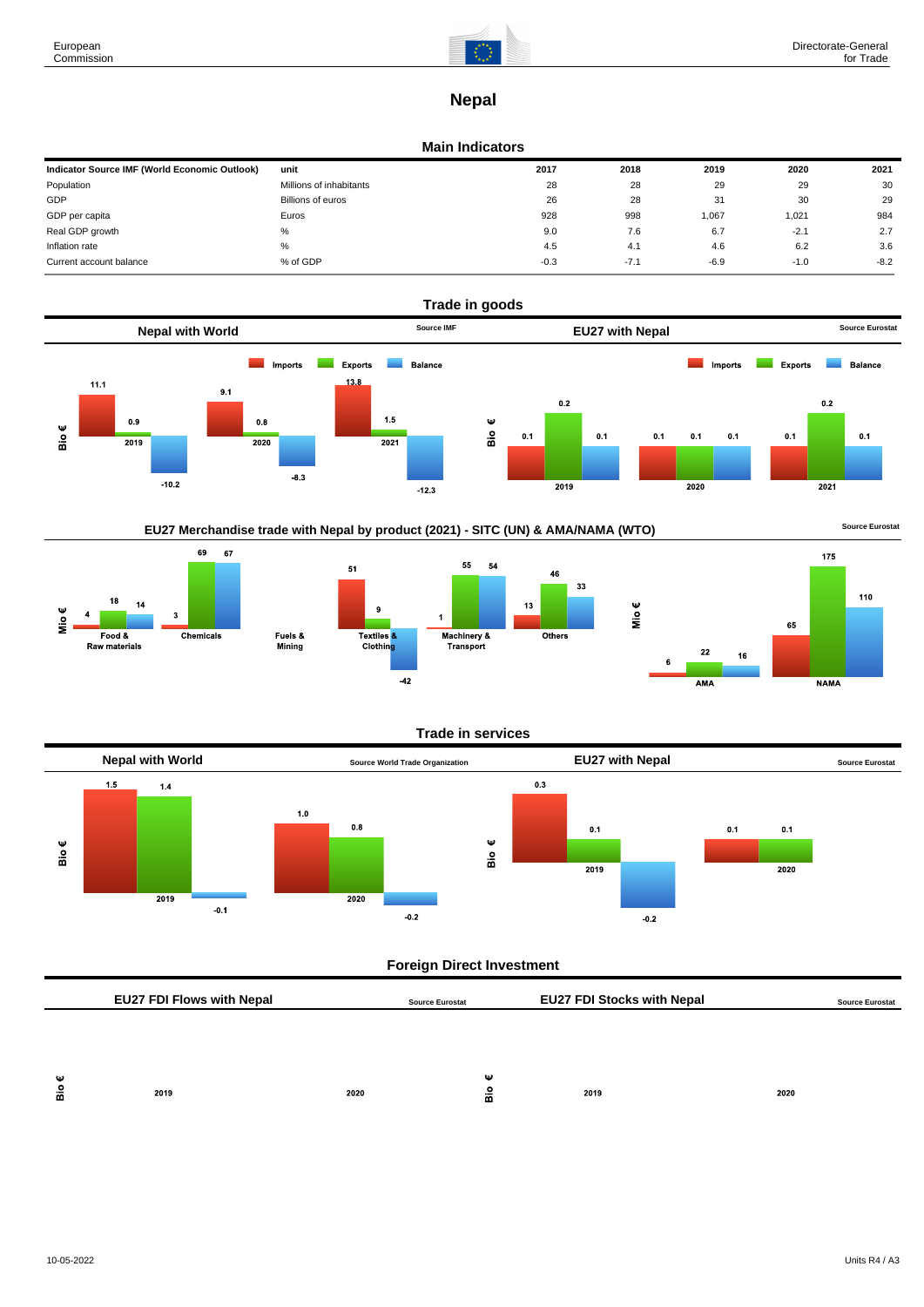$rac{1}{2}$ 



# **Nepal**

#### **Main Indicators**

| Indicator Source IMF (World Economic Outlook) | unit                    | 2017   | 2018   | 2019   | 2020   | 2021   |
|-----------------------------------------------|-------------------------|--------|--------|--------|--------|--------|
| Population                                    | Millions of inhabitants | 28     | 28     | 29     | 29     | 30     |
| GDP                                           | Billions of euros       | 26     | 28     | 31     | 30     | 29     |
| GDP per capita                                | Euros                   | 928    | 998    | 067, ا | 1,021  | 984    |
| Real GDP growth                               | %                       | 9.0    | 7.6    | 6.7    | $-2.1$ | 2.7    |
| Inflation rate                                | %                       | 4.5    | 4.1    | 4.6    | 6.2    | 3.6    |
| Current account balance                       | % of GDP                | $-0.3$ | $-7.1$ | $-6.9$ | $-1.0$ | $-8.2$ |



EU27 Merchandise trade with Nepal by product (2021) - SITC (UN) & AMA/NAMA (WTO) **Source Eurostat** 





### **Trade in services**



## **Foreign Direct Investment**

|        | <b>EU27 FDI Flows with Nepal</b> |      | <b>Source Eurostat</b> | <b>EU27 FDI Stocks with Nepal</b> |      | <b>Source Eurostat</b> |
|--------|----------------------------------|------|------------------------|-----------------------------------|------|------------------------|
|        |                                  |      |                        |                                   |      |                        |
|        |                                  |      |                        |                                   |      |                        |
| Ψ<br>å | 2019                             | 2020 | Ψ<br>Bio               | 2019                              | 2020 |                        |